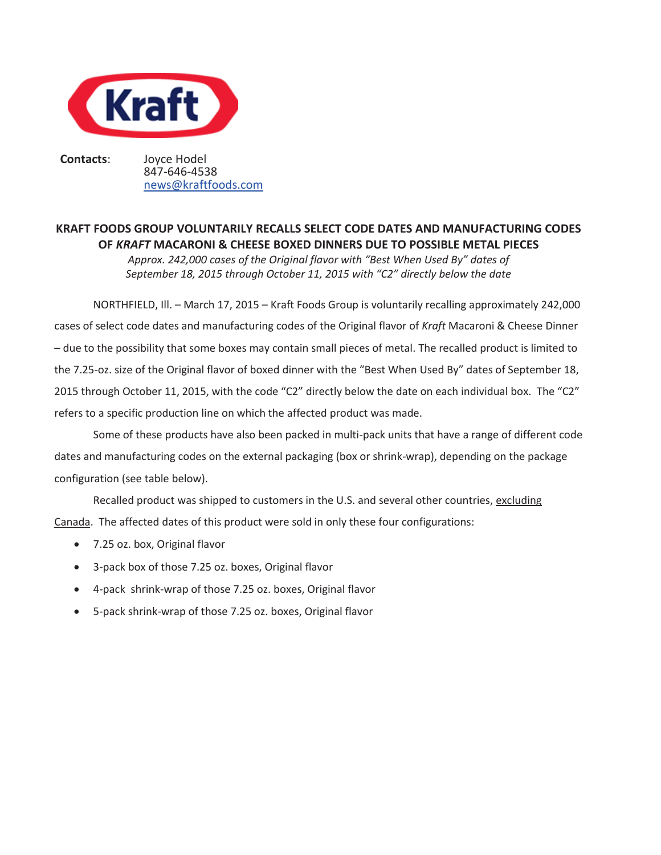

**Contacts**: Joyce Hodel

847-646-4538 news@kraftfoods.com

## **KRAFT FOODS GROUP VOLUNTARILY RECALLS SELECT CODE DATES AND MANUFACTURING CODES OF** *KRAFT* **MACARONI & CHEESE BOXED DINNERS DUE TO POSSIBLE METAL PIECES**

*Approx. 242,000 cases of the Original flavor with "Best When Used By" dates of September 18, 2015 through October 11, 2015 with "C2" directly below the date* 

NORTHFIELD, Ill. – March 17, 2015 – Kraft Foods Group is voluntarily recalling approximately 242,000 cases of select code dates and manufacturing codes of the Original flavor of *Kraft* Macaroni & Cheese Dinner – due to the possibility that some boxes may contain small pieces of metal. The recalled product is limited to the 7.25-oz. size of the Original flavor of boxed dinner with the "Best When Used By" dates of September 18, 2015 through October 11, 2015, with the code "C2" directly below the date on each individual box. The "C2" refers to a specific production line on which the affected product was made.

Some of these products have also been packed in multi-pack units that have a range of different code dates and manufacturing codes on the external packaging (box or shrink-wrap), depending on the package configuration (see table below).

Recalled product was shipped to customers in the U.S. and several other countries, excluding Canada. The affected dates of this product were sold in only these four configurations:

- 7.25 oz. box, Original flavor
- 3-pack box of those 7.25 oz. boxes, Original flavor
- x 4-pack shrink-wrap of those 7.25 oz. boxes, Original flavor
- 5-pack shrink-wrap of those 7.25 oz. boxes, Original flavor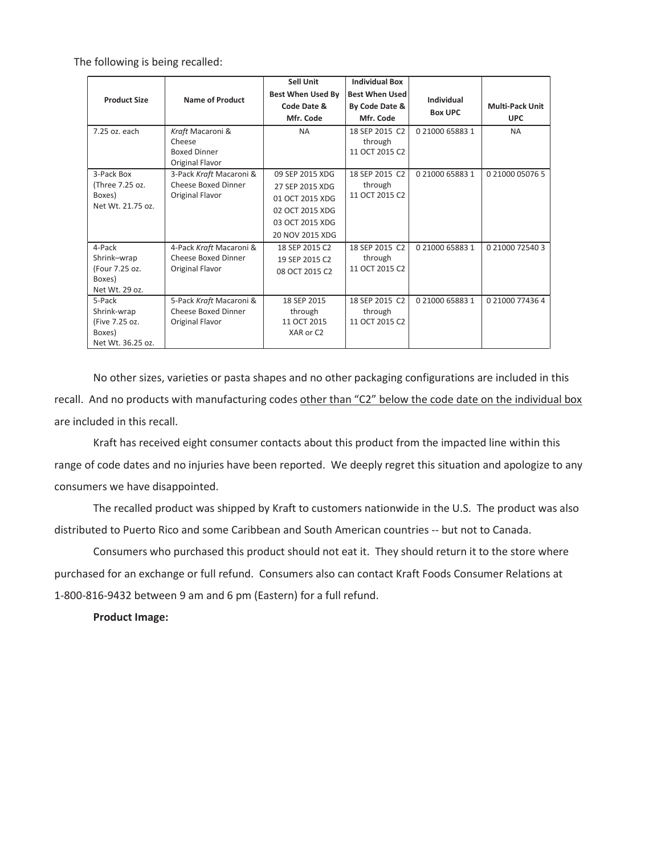The following is being recalled:

|                     |                         | Sell Unit                | <b>Individual Box</b> |                              |                        |
|---------------------|-------------------------|--------------------------|-----------------------|------------------------------|------------------------|
| <b>Product Size</b> | <b>Name of Product</b>  | <b>Best When Used By</b> | <b>Best When Used</b> | Individual<br><b>Box UPC</b> |                        |
|                     |                         | Code Date &              | By Code Date &        |                              | <b>Multi-Pack Unit</b> |
|                     |                         | Mfr. Code                | Mfr. Code             |                              | <b>UPC</b>             |
| 7.25 oz. each       | Kraft Macaroni &        | <b>NA</b>                | 18 SEP 2015 C2        | 0 21000 65883 1              | <b>NA</b>              |
|                     | Cheese                  |                          | through               |                              |                        |
|                     | <b>Boxed Dinner</b>     |                          | 11 OCT 2015 C2        |                              |                        |
|                     | Original Flavor         |                          |                       |                              |                        |
| 3-Pack Box          | 3-Pack Kraft Macaroni & | 09 SEP 2015 XDG          | 18 SEP 2015 C2        | 0 21000 65883 1              | 0 21000 05076 5        |
| (Three 7.25 oz.     | Cheese Boxed Dinner     | 27 SEP 2015 XDG          | through               |                              |                        |
| Boxes)              | Original Flavor         | 01 OCT 2015 XDG          | 11 OCT 2015 C2        |                              |                        |
| Net Wt. 21.75 oz.   |                         | 02 OCT 2015 XDG          |                       |                              |                        |
|                     |                         | 03 OCT 2015 XDG          |                       |                              |                        |
|                     |                         | 20 NOV 2015 XDG          |                       |                              |                        |
| 4-Pack              | 4-Pack Kraft Macaroni & | 18 SEP 2015 C2           | 18 SEP 2015 C2        | 0 21000 65883 1              | 0 21000 72540 3        |
| Shrink-wrap         | Cheese Boxed Dinner     | 19 SEP 2015 C2           | through               |                              |                        |
| (Four 7.25 oz.      | Original Flavor         | 08 OCT 2015 C2           | 11 OCT 2015 C2        |                              |                        |
| Boxes)              |                         |                          |                       |                              |                        |
| Net Wt. 29 oz.      |                         |                          |                       |                              |                        |
| 5-Pack              | 5-Pack Kraft Macaroni & | 18 SEP 2015              | 18 SEP 2015 C2        | 0 21000 65883 1              | 0 21000 77436 4        |
| Shrink-wrap         | Cheese Boxed Dinner     | through                  | through               |                              |                        |
| (Five 7.25 oz.      | Original Flavor         | 11 OCT 2015              | 11 OCT 2015 C2        |                              |                        |
| Boxes)              |                         | XAR or C2                |                       |                              |                        |
| Net Wt. 36.25 oz.   |                         |                          |                       |                              |                        |

No other sizes, varieties or pasta shapes and no other packaging configurations are included in this recall. And no products with manufacturing codes other than "C2" below the code date on the individual box are included in this recall.

Kraft has received eight consumer contacts about this product from the impacted line within this range of code dates and no injuries have been reported. We deeply regret this situation and apologize to any consumers we have disappointed.

The recalled product was shipped by Kraft to customers nationwide in the U.S. The product was also distributed to Puerto Rico and some Caribbean and South American countries -- but not to Canada.

Consumers who purchased this product should not eat it. They should return it to the store where purchased for an exchange or full refund. Consumers also can contact Kraft Foods Consumer Relations at 1-800-816-9432 between 9 am and 6 pm (Eastern) for a full refund.

**Product Image:**